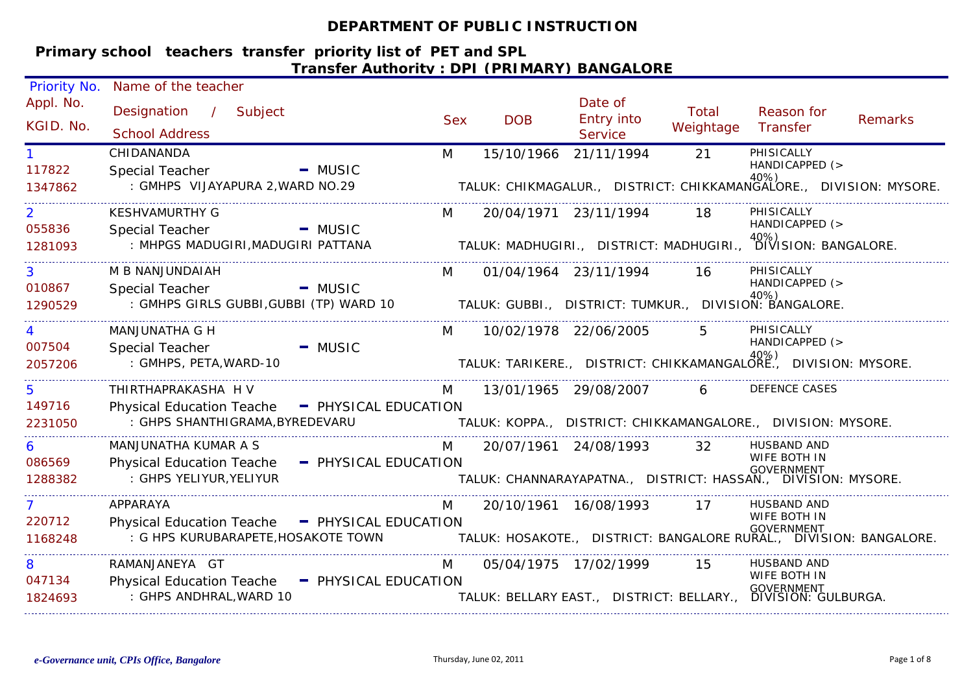#### **DEPARTMENT OF PUBLIC INSTRUCTION**

| Priority No.                        | Name of the teacher                                                                                         |            |                       |                                                |                    |                                                                                                                             |
|-------------------------------------|-------------------------------------------------------------------------------------------------------------|------------|-----------------------|------------------------------------------------|--------------------|-----------------------------------------------------------------------------------------------------------------------------|
| Appl. No.<br>KGID. No.              | Designation /<br>Subject<br><b>School Address</b>                                                           | <b>Sex</b> | <b>DOB</b>            | Date of<br><b>Entry into</b><br><b>Service</b> | Total<br>Weightage | Reason for<br><b>Remarks</b><br>Transfer                                                                                    |
| 117822<br>1347862                   | CHIDANANDA<br>Special Teacher<br>$-MUSIC$<br>: GMHPS VIJAYAPURA 2, WARD NO.29                               | M          | 15/10/1966            | 21/11/1994                                     | 21                 | PHISICALLY<br>HANDICAPPED (><br>40%)<br>TALUK: CHIKMAGALUR., DISTRICT: CHIKKAMANGALORE., DIVISION: MYSORE.                  |
| $\overline{2}$<br>055836<br>1281093 | <b>KESHVAMURTHY G</b><br>Special Teacher<br>$-MUSIC$<br>: MHPGS MADUGIRI, MADUGIRI PATTANA                  | M          | 20/04/1971 23/11/1994 |                                                | 18                 | PHISICALLY<br>HANDICAPPED (><br>TALUK: MADHUGIRI.,  DISTRICT: MADHUGIRI.,  DIVISION: BANGALORE.                             |
| 3<br>010867<br>1290529              | M B NANJUNDAIAH<br><b>Special Teacher</b><br>$-MUSIC$<br>: GMHPS GIRLS GUBBI, GUBBI (TP) WARD 10            | M          | 01/04/1964 23/11/1994 |                                                | 16                 | PHISICALLY<br>HANDICAPPED (><br>TALUK: GUBBI., DISTRICT: TUMKUR., DIVISION: BANGALORE.                                      |
| 4<br>007504<br>2057206              | MANJUNATHA G H<br>Special Teacher<br>$-MUSIC$<br>: GMHPS, PETA, WARD-10                                     | M          | 10/02/1978 22/06/2005 |                                                |                    | PHISICALLY<br>HANDICAPPED (><br>TALUK: TARIKERE., DISTRICT: CHIKKAMANGALORE., DIVISION: MYSORE.                             |
| 5<br>149716<br>2231050              | THIRTHAPRAKASHA H V<br>Physical Education Teache - PHYSICAL EDUCATION<br>: GHPS SHANTHIGRAMA, BYREDEVARU    | M          |                       | 13/01/1965 29/08/2007                          | $6 \quad$          | <b>DEFENCE CASES</b><br>TALUK: KOPPA., DISTRICT: CHIKKAMANGALORE., DIVISION: MYSORE.                                        |
| 6<br>086569<br>1288382              | MANJUNATHA KUMAR A S<br><b>Physical Education Teache</b><br>- PHYSICAL EDUCATION<br>: GHPS YELIYUR, YELIYUR | M          |                       | 20/07/1961 24/08/1993 32                       |                    | <b>HUSBAND AND</b><br>WIFE BOTH IN<br>۰۰<br>TALUK: CHANNARAYAPATNA.,   DISTRICT: HASSAN.,   DIVISION: MYSORE.               |
| 7 <sup>1</sup><br>220712<br>1168248 | APPARAYA<br>Physical Education Teache - PHYSICAL EDUCATION<br>: G HPS KURUBARAPETE, HOSAKOTE TOWN           | M          |                       | 20/10/1961 16/08/1993                          | 17                 | <b>HUSBAND AND</b><br>WIFE BOTH IN<br>GOVERNMENT .<br>.TALUK: HOSAKOTE.,  DISTRICT: BANGALORE RURAL.,  DIVISION: BANGALORE. |
| 8<br>047134<br>1824693              | RAMANJANEYA GT<br>Physical Education Teache - PHYSICAL EDUCATION<br>: GHPS ANDHRAL, WARD 10                 | M          |                       | 05/04/1975 17/02/1999                          | 15                 | HUSBAND AND<br>WIFE BOTH IN<br><b>GOVERNMENT</b><br>TALUK: BELLARY EAST., DISTRICT: BELLARY., DIVISION: GULBURGA.           |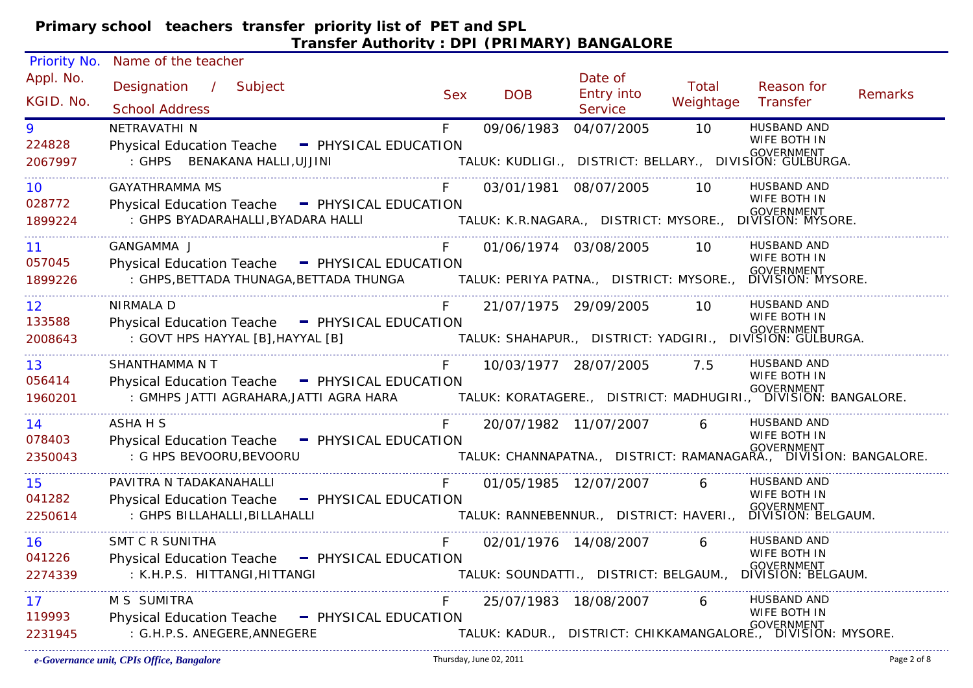| <b>Priority No.</b>    | Name of the teacher                                                                        |            |                                        |                                                |                    |                                                                                     |                |
|------------------------|--------------------------------------------------------------------------------------------|------------|----------------------------------------|------------------------------------------------|--------------------|-------------------------------------------------------------------------------------|----------------|
| Appl. No.<br>KGID. No. | Designation /<br>Subject<br><b>School Address</b>                                          | <b>Sex</b> | <b>DOB</b>                             | Date of<br><b>Entry into</b><br><b>Service</b> | Total<br>Weightage | Reason for<br>Transfer                                                              | <b>Remarks</b> |
| 9                      | NETRAVATHI N                                                                               | F          | 09/06/1983                             | 04/07/2005                                     | 10 <sup>°</sup>    | <b>HUSBAND AND</b>                                                                  |                |
| 224828                 | Physical Education Teache - PHYSICAL EDUCATION                                             |            |                                        |                                                |                    | WIFE BOTH IN                                                                        |                |
| 2067997                | : GHPS BENAKANA HALLI, UJJINI                                                              |            |                                        |                                                |                    |                                                                                     |                |
| 10                     | <b>GAYATHRAMMA MS</b>                                                                      |            |                                        | 03/01/1981 08/07/2005                          | 10                 | <b>HUSBAND AND</b>                                                                  |                |
| 028772                 | Physical Education Teache - PHYSICAL EDUCATION                                             |            |                                        |                                                |                    | WIFE BOTH IN<br>GOVERNMENT                                                          |                |
| 1899224                | : GHPS BYADARAHALLI,BYADARA HALLI TALUK: K.R.NAGARA., DISTRICT: MYSORE., DIVISION: MYSORE. |            |                                        |                                                |                    |                                                                                     |                |
| 11                     | GANGAMMA J                                                                                 |            |                                        | 01/06/1974 03/08/2005 10                       |                    | <b>HUSBAND AND</b><br>WIFE BOTH IN                                                  |                |
| 057045                 | Physical Education Teache - PHYSICAL EDUCATION                                             |            |                                        |                                                |                    |                                                                                     |                |
| 1899226                |                                                                                            |            |                                        |                                                |                    |                                                                                     |                |
| 12                     | <b>NIRMALA D</b>                                                                           |            |                                        | 21/07/1975 29/09/2005                          | 10 <sup>°</sup>    | <b>HUSBAND AND</b>                                                                  |                |
| 133588                 | Physical Education Teache - PHYSICAL EDUCATION                                             |            |                                        |                                                |                    | WIFE BOTH IN                                                                        |                |
| 2008643                | : GOVT HPS HAYYAL [B], HAYYAL [B]                                                          |            |                                        |                                                |                    | GOVERNMENT (COURNMENT)<br>TALUK: SHAHAPUR., DISTRICT: YADGIRI., DIVISION: GULBURGA. |                |
| 13                     | SHANTHAMMA N T                                                                             |            |                                        | 10/03/1977 28/07/2005 7.5                      |                    | <b>HUSBAND AND</b>                                                                  |                |
| 056414                 | Physical Education Teache - PHYSICAL EDUCATION                                             |            |                                        |                                                |                    | <b>WIFE BOTH IN</b>                                                                 |                |
| 1960201                |                                                                                            |            |                                        |                                                |                    |                                                                                     |                |
| 14                     | ASHA H S                                                                                   |            |                                        | 20/07/1982 11/07/2007                          | 6                  | <b>HUSBAND AND</b>                                                                  |                |
| 078403                 | Physical Education Teache - PHYSICAL EDUCATION                                             |            |                                        |                                                |                    | WIFE BOTH IN                                                                        |                |
| 2350043                | : G HPS BEVOORU, BEVOORU                                                                   |            |                                        |                                                |                    | 、<br>TALUK: CHANNAPATNA.,  DISTRICT: RAMANAGARA.,  DIVISION: BANGALORE.             |                |
| 15                     | PAVITRA N TADAKANAHALLI                                                                    | F          |                                        | 01/05/1985 12/07/2007 6                        |                    | HUSBAND AND                                                                         |                |
| 041282                 | Physical Education Teache - PHYSICAL EDUCATION                                             |            |                                        |                                                |                    | WIFE BOTH IN                                                                        |                |
| 2250614                | : GHPS BILLAHALLI, BILLAHALLI                                                              |            |                                        |                                                |                    | .<br>TALUK: RANNEBENNUR., DISTRICT: HAVERI., DIVISION: BELGAUM.                     |                |
| 16                     | <b>SMT C R SUNITHA</b>                                                                     | F          | 02/01/1976 14/08/2007                  |                                                | 6                  | HUSBAND AND<br>WIFE BOTH IN                                                         |                |
| 041226                 | Physical Education Teache - PHYSICAL EDUCATION                                             |            |                                        |                                                |                    |                                                                                     |                |
| 2274339                | : K.H.P.S. HITTANGI, HITTANGI                                                              |            | TALUK: SOUNDATTI., DISTRICT: BELGAUM., |                                                |                    | GOVERNMENT<br>DIVISION: BELGAUM.                                                    |                |
| 17 <sup>2</sup>        | M S SUMITRA                                                                                |            | 25/07/1983 18/08/2007                  |                                                | 6                  | <b>HUSBAND AND</b><br>WIFE BOTH IN                                                  |                |
| 119993                 | Physical Education Teache - PHYSICAL EDUCATION                                             |            |                                        |                                                |                    | GOVERNMENT<br>TALUK: KADUR.,   DISTRICT: CHIKKAMANGALORE.,   DIVISION: MYSORE.      |                |
| 2231945                | : G.H.P.S. ANEGERE, ANNEGERE                                                               |            |                                        |                                                |                    |                                                                                     |                |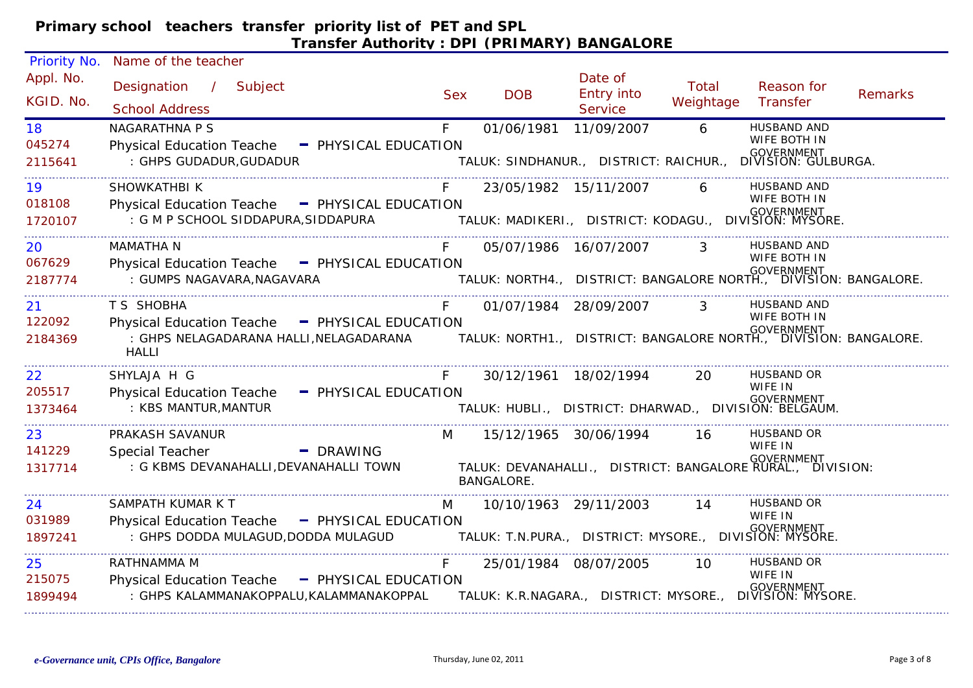| Priority No.            | Name of the teacher                                                                                                                                                                                                                            |            |                                                                 |                                                |                    |                                                                                                                |                |
|-------------------------|------------------------------------------------------------------------------------------------------------------------------------------------------------------------------------------------------------------------------------------------|------------|-----------------------------------------------------------------|------------------------------------------------|--------------------|----------------------------------------------------------------------------------------------------------------|----------------|
| Appl. No.<br>KGID. No.  | Designation /<br>Subject<br><b>School Address</b>                                                                                                                                                                                              | <b>Sex</b> | <b>DOB</b>                                                      | Date of<br><b>Entry into</b><br><b>Service</b> | Total<br>Weightage | Reason for<br>Transfer                                                                                         | <b>Remarks</b> |
| 18<br>045274<br>2115641 | <b>NAGARATHNA P S</b><br>Physical Education Teache - PHYSICAL EDUCATION<br>: GHPS GUDADUR, GUDADUR                                                                                                                                             | F          | 01/06/1981                                                      | 11/09/2007                                     | 6                  | <b>HUSBAND AND</b><br>WIFE BOTH IN<br>ار<br>TALUK: SINDHANUR.,   DISTRICT: RAICHUR.,   DIVISION: GULBURGA.     |                |
| 19<br>018108<br>1720107 | SHOWKATHBI K<br>Physical Education Teache - PHYSICAL EDUCATION<br>: G M P SCHOOL SIDDAPURA, SIDDAPURA                                                                                                                                          | F          |                                                                 | 23/05/1982 15/11/2007                          | 6                  | <b>HUSBAND AND</b><br>WIFE BOTH IN                                                                             |                |
| 20<br>067629<br>2187774 | <b>MAMATHA N</b><br>Physical Education Teache - PHYSICAL EDUCATION<br>: GUMPS NAGAVARA, NAGAVARA                                                                                                                                               |            |                                                                 | 05/07/1986 16/07/2007 3                        |                    | <b>HUSBAND AND</b><br>WIFE BOTH IN<br>یر<br>TALUK: NORTH4.,  DISTRICT: BANGALORE NORTH.,  DIVISION: BANGALORE. |                |
| 21<br>122092<br>2184369 | T S SHOBHA<br>Physical Education Teache - PHYSICAL EDUCATION<br>sical Education Teache — FITISTCAL EDUCATION<br>GOVERNMENT : GHPS NELAGADARANA HALLI,NELAGADARANA — TALUK: NORTH1., DISTRICT: BANGALORE NORTH., DIVISION: BANGALORE :<br>HALLI | $F -$      |                                                                 | 01/07/1984 28/09/2007 3                        |                    | HUSBAND AND<br>WIFE BOTH IN                                                                                    |                |
| 22<br>205517<br>1373464 | SHYLAJA H G<br><b>Physical Education Teache</b><br>- PHYSICAL EDUCATION<br>: KBS MANTUR, MANTUR                                                                                                                                                |            | ۰۰<br>TALUK: HUBLI.,   DISTRICT: DHARWAD.,   DIVISION: BELGAUM. | 30/12/1961 18/02/1994                          | 20                 | HUSBAND OR<br>WIFE IN                                                                                          |                |
| 23<br>141229<br>1317714 | PRAKASH SAVANUR<br><b>Special Teacher</b><br>- DRAWING<br>: G KBMS DEVANAHALLI, DEVANAHALLI TOWN                                                                                                                                               | M          | <b>BANGALORE.</b>                                               | 15/12/1965 30/06/1994                          | 16                 | <b>HUSBAND OR</b><br>WIFE IN<br>GOVERNMENT<br>TALUK: DEVANAHALLI., DISTRICT: BANGALORE RURAL., DIVISION:       |                |
| 24<br>031989<br>1897241 | SAMPATH KUMAR K T<br>Physical Education Teache - PHYSICAL EDUCATION                                                                                                                                                                            | M          | 10/10/1963 29/11/2003                                           |                                                | 14                 | <b>HUSBAND OR</b><br>WIFE IN                                                                                   |                |
| 25<br>215075<br>1899494 | RATHNAMMA M<br>Physical Education Teache - PHYSICAL EDUCATION<br>: GHPS KALAMMANAKOPPALU, KALAMMANAKOPPAL                                                                                                                                      |            | 25/01/1984 08/07/2005                                           |                                                | 10.                | HUSBAND OR<br>WIFE IN<br>الا<br>TALUK: K.R.NAGARA.,   DISTRICT: MYSORE.,   DIVISION: MYSORE.                   |                |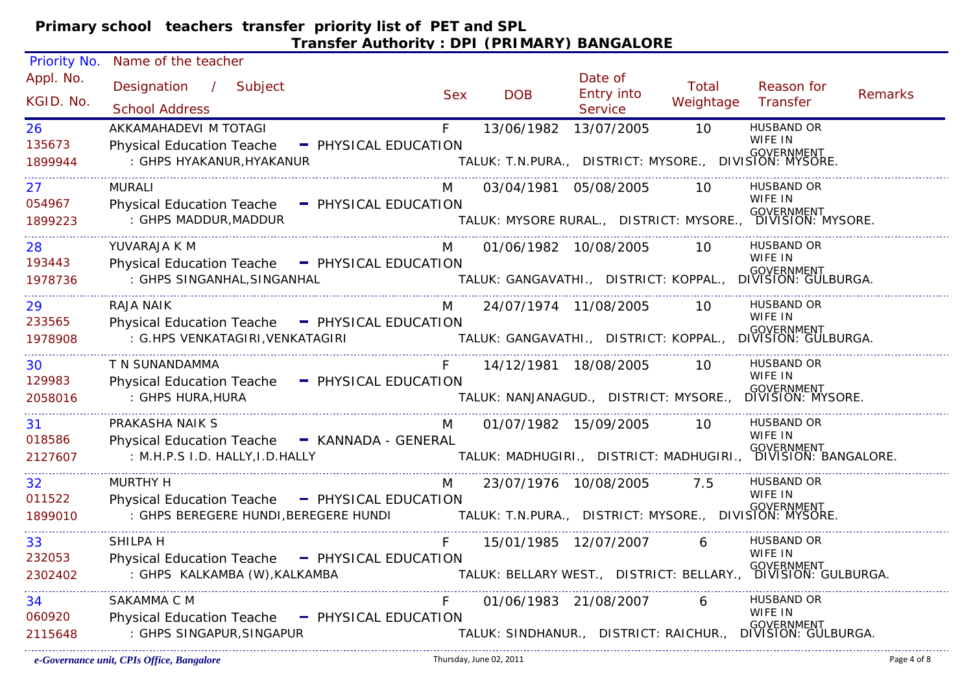| Priority No.           | Name of the teacher                                           |                      |              |                                                                          |                                         |                    |                                                                              |         |
|------------------------|---------------------------------------------------------------|----------------------|--------------|--------------------------------------------------------------------------|-----------------------------------------|--------------------|------------------------------------------------------------------------------|---------|
| Appl. No.<br>KGID. No. | Designation / Subject<br><b>School Address</b>                |                      | <b>Sex</b>   | <b>DOB</b>                                                               | Date of<br>Entry into<br><b>Service</b> | Total<br>Weightage | Reason for<br>Transfer                                                       | Remarks |
| 26                     | AKKAMAHADEVI M TOTAGI                                         |                      | F            | 13/06/1982 13/07/2005                                                    |                                         | 10                 | <b>HUSBAND OR</b>                                                            |         |
| 135673<br>1899944      | <b>Physical Education Teache</b><br>: GHPS HYAKANUR, HYAKANUR | - PHYSICAL EDUCATION |              | ۰ <b>۰</b><br>TALUK: T.N.PURA.,   DISTRICT: MYSORE.,   DIVISION: MYSORE. |                                         |                    | WIFE IN                                                                      |         |
| 27                     | <b>MURALI</b>                                                 |                      | M            | 03/04/1981 05/08/2005                                                    |                                         | 10                 | <b>HUSBAND OR</b>                                                            |         |
| 054967                 | <b>Physical Education Teache</b>                              | - PHYSICAL EDUCATION |              |                                                                          |                                         |                    | WIFE IN                                                                      |         |
| 1899223                | : GHPS MADDUR, MADDUR                                         |                      |              |                                                                          |                                         |                    | .、<br>TALUK: MYSORE RURAL., DISTRICT: MYSORE., DIVISION: MYSORE.             |         |
| 28                     | YUVARAJA K M                                                  |                      | M            |                                                                          | 01/06/1982 10/08/2005                   | 10                 | <b>HUSBAND OR</b>                                                            |         |
| 193443                 | Physical Education Teache - PHYSICAL EDUCATION                |                      |              |                                                                          |                                         |                    | WIFE IN                                                                      |         |
| 1978736                | : GHPS SINGANHAL, SINGANHAL                                   |                      |              | TALUK: GANGAVATHI., DISTRICT: KOPPAL.,                                   |                                         |                    | GOVERNMENT<br>DIVISION: GULBURGA.                                            |         |
| 29                     | RAJA NAIK                                                     |                      | M            | 24/07/1974 11/08/2005                                                    |                                         | 10                 | <b>HUSBAND OR</b>                                                            |         |
| 233565                 | Physical Education Teache - PHYSICAL EDUCATION                |                      |              |                                                                          |                                         |                    | WIFE IN                                                                      |         |
| 1978908                | : G.HPS VENKATAGIRI, VENKATAGIRI                              |                      |              |                                                                          |                                         |                    | COVERNMENT .<br>.TALUK: GANGAVATHI.,  DISTRICT: KOPPAL.,  DIVISION: GULBURGA |         |
| 30                     | T N SUNANDAMMA                                                |                      |              | 14/12/1981 18/08/2005                                                    |                                         | $\overline{10}$    | HUSBAND OR                                                                   |         |
| 129983                 | <b>Physical Education Teache</b>                              | - PHYSICAL EDUCATION |              |                                                                          |                                         |                    | WIFE IN                                                                      |         |
| 2058016                | : GHPS HURA, HURA                                             |                      |              | TALUK: NANJANAGUD., DISTRICT: MYSORE.,                                   |                                         |                    | GOVERNMENT<br>DIVISION: MYSORE.                                              |         |
| 31                     | PRAKASHA NAIK S                                               |                      | M            |                                                                          | 01/07/1982 15/09/2005                   | 10                 | <b>HUSBAND OR</b>                                                            |         |
| 018586                 | Physical Education Teache - KANNADA - GENERAL                 |                      |              |                                                                          |                                         |                    | WIFE IN                                                                      |         |
| 2127607                | : M.H.P.S I.D. HALLY, I.D. HALLY                              |                      |              |                                                                          |                                         |                    | .<br>TALUK: MADHUGIRI.,   DISTRICT: MADHUGIRI.,   DIVISION: BANGALORE.       |         |
| 32                     | <b>MURTHY H</b>                                               |                      | M            |                                                                          | 23/07/1976 10/08/2005 7.5               |                    | <b>HUSBAND OR</b>                                                            |         |
| 011522                 | Physical Education Teache - PHYSICAL EDUCATION                |                      |              |                                                                          |                                         |                    | WIFE IN                                                                      |         |
| 1899010                |                                                               |                      |              |                                                                          |                                         |                    |                                                                              |         |
| 33                     | SHILPA H                                                      |                      | $\mathsf{F}$ | 15/01/1985 12/07/2007                                                    |                                         | 6                  | <b>HUSBAND OR</b>                                                            |         |
| 232053                 | Physical Education Teache - PHYSICAL EDUCATION                |                      |              |                                                                          |                                         |                    | WIFE IN                                                                      |         |
| 2302402                | : GHPS KALKAMBA (W), KALKAMBA                                 |                      |              |                                                                          |                                         |                    | GOVERNMENT<br>TALUK: BELLARY WEST., DISTRICT: BELLARY., DIVISION: GULBURGA.  |         |
| 34                     | SAKAMMA C M                                                   |                      |              | 01/06/1983 21/08/2007                                                    |                                         | 6                  | <b>HUSBAND OR</b><br>WIFE IN                                                 |         |
| 060920                 | <b>Physical Education Teache</b>                              | - PHYSICAL EDUCATION |              |                                                                          |                                         |                    |                                                                              |         |
| 2115648                | : GHPS SINGAPUR, SINGAPUR                                     |                      |              |                                                                          |                                         |                    | GOVERNMENT<br>TALUK: SINDHANUR., DISTRICT: RAICHUR., DIVISION: GULBURGA.     |         |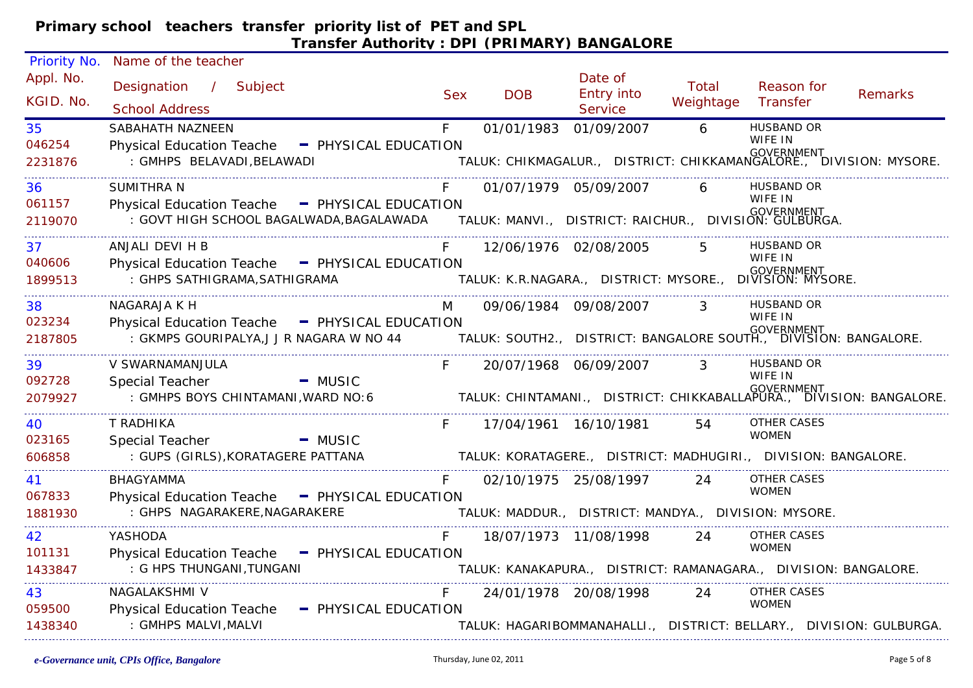| Priority No.           | Name of the teacher                                                                                                                        |            |            |                                                                          |                    |                        |                                                                                        |
|------------------------|--------------------------------------------------------------------------------------------------------------------------------------------|------------|------------|--------------------------------------------------------------------------|--------------------|------------------------|----------------------------------------------------------------------------------------|
| Appl. No.<br>KGID. No. | Designation / Subject<br><b>School Address</b>                                                                                             | <b>Sex</b> | <b>DOB</b> | Date of<br>Entry into<br><b>Service</b>                                  | Total<br>Weightage | Reason for<br>Transfer | <b>Remarks</b>                                                                         |
| 35                     | SABAHATH NAZNEEN                                                                                                                           | $F -$      | 01/01/1983 | 01/09/2007                                                               | $6\overline{6}$    | <b>HUSBAND OR</b>      |                                                                                        |
| 046254<br>2231876      | Physical Education Teache - PHYSICAL EDUCATION<br>: GMHPS BELAVADI, BELAWADI                                                               |            |            |                                                                          |                    | WIFE IN                | "<br>TALUK: CHIKMAGALUR.,   DISTRICT: CHIKKAMANGALORE.,   DIVISION: MYSORE.            |
| 36                     | SUMITHRA N                                                                                                                                 |            |            | 01/07/1979 05/09/2007                                                    | 6                  | HUSBAND OR             |                                                                                        |
| 061157                 | Physical Education Teache - PHYSICAL EDUCATION                                                                                             |            |            |                                                                          |                    | WIFE IN                |                                                                                        |
| 2119070                | : GOVT HIGH SCHOOL BAGALWADA, BAGALAWADA                                                                                                   |            |            | GOVERNMENT<br>TALUK: MANVI.,   DISTRICT: RAICHUR.,   DIVISION: GULBURGA. |                    |                        |                                                                                        |
| 37                     | ANJALI DEVI H B                                                                                                                            | F          |            | 12/06/1976 02/08/2005                                                    | $5^{\circ}$        | HUSBAND OR             |                                                                                        |
| 040606                 | Physical Education Teache - PHYSICAL EDUCATION                                                                                             |            |            |                                                                          |                    | WIFE IN                |                                                                                        |
| 1899513                | : GHPS SATHIGRAMA, SATHIGRAMA                                                                                                              |            |            | ۰۰<br>TALUK: K.R.NAGARA.,   DISTRICT: MYSORE.,   DIVISION: MYSORE.       |                    |                        |                                                                                        |
| 38                     | NAGARAJA K H                                                                                                                               | M          |            | 09/06/1984 09/08/2007                                                    | $\mathbf{3}$       | <b>HUSBAND OR</b>      |                                                                                        |
| 023234                 | Physical Education Teache - PHYSICAL EDUCATION                                                                                             |            |            |                                                                          |                    | WIFE IN                |                                                                                        |
| 2187805                | Selvar Eubourner (Sovernment )<br>: GKMPS GOURIPALYA,J J R NAGARA W NO 44 TALUK: SOUTH2., DISTRICT: BANGALORE SOUTH., DIVISION: BANGALORE. |            |            |                                                                          |                    |                        |                                                                                        |
| 39                     | V SWARNAMANJULA                                                                                                                            | F          |            | 20/07/1968 06/09/2007 3                                                  |                    | HUSBAND OR             |                                                                                        |
| 092728                 | Special Teacher<br>$-MUSIC$                                                                                                                |            |            |                                                                          |                    | WIFE IN                |                                                                                        |
| 2079927                | : GMHPS BOYS CHINTAMANI, WARD NO: 6                                                                                                        |            |            |                                                                          |                    |                        | GOVERNMENT<br>.TALUK: CHINTAMANI.,   DISTRICT: CHIKKABALLAPURA.,   DIVISION: BANGALORE |
| 40                     | T RADHIKA                                                                                                                                  | F.         |            |                                                                          | 54                 | OTHER CASES            |                                                                                        |
| 023165                 | Special Teacher<br>$-MUSIC$                                                                                                                |            |            |                                                                          |                    | <b>WOMEN</b>           |                                                                                        |
| 606858                 | : GUPS (GIRLS), KORATAGERE PATTANA                                                                                                         |            |            | TALUK: KORATAGERE., DISTRICT: MADHUGIRI., DIVISION: BANGALORE.           |                    |                        |                                                                                        |
| 41                     | <b>BHAGYAMMA</b>                                                                                                                           |            |            | 02/10/1975 25/08/1997                                                    | 24                 | OTHER CASES            |                                                                                        |
| 067833                 | Physical Education Teache - PHYSICAL EDUCATION                                                                                             |            |            |                                                                          |                    | <b>WOMEN</b>           |                                                                                        |
| 1881930                | : GHPS NAGARAKERE, NAGARAKERE                                                                                                              |            |            |                                                                          |                    |                        |                                                                                        |
| 42                     | YASHODA                                                                                                                                    | F.         |            | 18/07/1973 11/08/1998 24                                                 |                    | OTHER CASES            |                                                                                        |
| 101131                 | Physical Education Teache - PHYSICAL EDUCATION                                                                                             |            |            |                                                                          |                    | <b>WOMEN</b>           |                                                                                        |
| 1433847                | : G HPS THUNGANI, TUNGANI                                                                                                                  |            |            | TALUK: KANAKAPURA., DISTRICT: RAMANAGARA., DIVISION: BANGALORE.          |                    |                        |                                                                                        |
| 43                     | NAGALAKSHMI V                                                                                                                              | F          |            | 24/01/1978 20/08/1998 24                                                 |                    | OTHER CASES            |                                                                                        |
| 059500                 | <b>Physical Education Teache</b><br>- PHYSICAL EDUCATION                                                                                   |            |            |                                                                          |                    | <b>WOMEN</b>           |                                                                                        |
| 1438340                | : GMHPS MALVI, MALVI                                                                                                                       |            |            |                                                                          |                    |                        | TALUK: HAGARIBOMMANAHALLI., DISTRICT: BELLARY., DIVISION: GULBURGA.                    |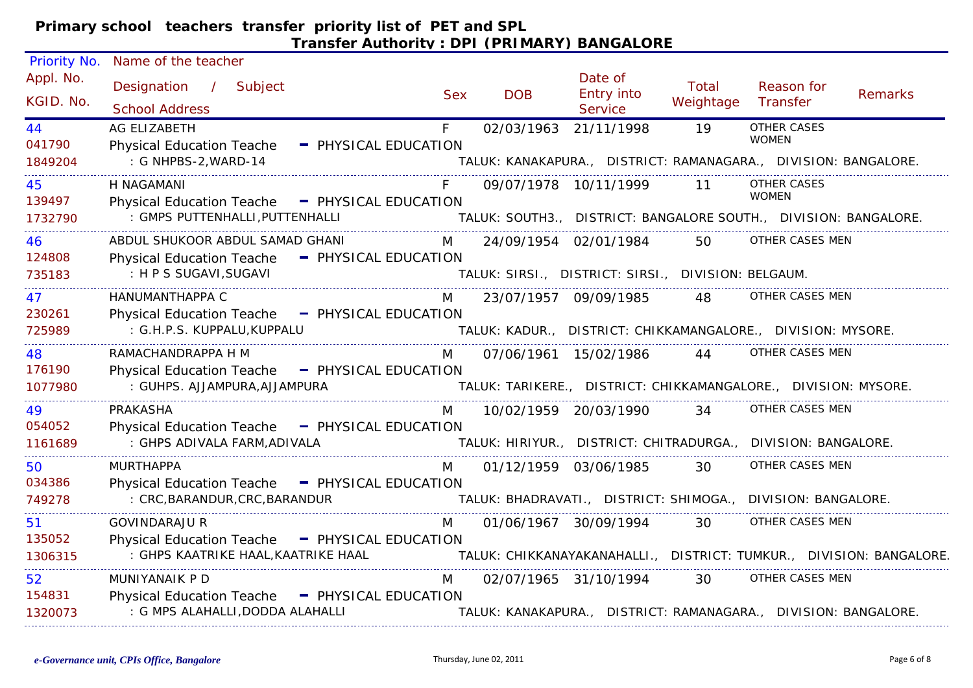| Priority No.            | Name of the teacher                                                                                   |                      |            |            |                                                     |                    |                                                                                                             |                |
|-------------------------|-------------------------------------------------------------------------------------------------------|----------------------|------------|------------|-----------------------------------------------------|--------------------|-------------------------------------------------------------------------------------------------------------|----------------|
| Appl. No.<br>KGID. No.  | Designation / Subject<br><b>School Address</b>                                                        |                      | <b>Sex</b> | <b>DOB</b> | Date of<br>Entry into<br><b>Service</b>             | Total<br>Weightage | Reason for<br>Transfer                                                                                      | <b>Remarks</b> |
| 44<br>041790            | AG ELIZABETH<br><b>Physical Education Teache</b>                                                      | - PHYSICAL EDUCATION | F          | 02/03/1963 | 21/11/1998                                          | 19                 | <b>OTHER CASES</b><br><b>WOMEN</b>                                                                          |                |
| 1849204                 | : G NHPBS-2, WARD-14                                                                                  |                      |            |            |                                                     |                    | TALUK: KANAKAPURA., DISTRICT: RAMANAGARA., DIVISION: BANGALORE.                                             |                |
| 45<br>139497            | H NAGAMANI<br>Physical Education Teache - PHYSICAL EDUCATION                                          |                      |            |            | 09/07/1978 10/11/1999                               | 11                 | <b>OTHER CASES</b><br><b>WOMEN</b>                                                                          |                |
| 1732790                 | : GMPS PUTTENHALLI, PUTTENHALLI                                                                       |                      |            |            |                                                     |                    | TALUK: SOUTH3., DISTRICT: BANGALORE SOUTH., DIVISION: BANGALORE.                                            |                |
| 46<br>124808            | ABDUL SHUKOOR ABDUL SAMAD GHANI<br>Physical Education Teache - PHYSICAL EDUCATION                     |                      | M          |            | 24/09/1954 02/01/1984                               | 50                 | OTHER CASES MEN                                                                                             |                |
| 735183                  | : H P S SUGAVI, SUGAVI                                                                                |                      |            |            | TALUK: SIRSI., DISTRICT: SIRSI., DIVISION: BELGAUM. |                    |                                                                                                             |                |
| 47<br>230261            | HANUMANTHAPPA C<br>Physical Education Teache - PHYSICAL EDUCATION                                     |                      | M          |            | 23/07/1957 09/09/1985                               | 48                 | OTHER CASES MEN                                                                                             |                |
| 725989                  | : G.H.P.S. KUPPALU, KUPPALU                                                                           |                      |            |            |                                                     |                    | TALUK: KADUR., DISTRICT: CHIKKAMANGALORE., DIVISION: MYSORE.                                                |                |
| 48<br>176190<br>1077980 | RAMACHANDRAPPA H M<br>Physical Education Teache - PHYSICAL EDUCATION<br>: GUHPS. AJJAMPURA, AJJAMPURA |                      | M          |            |                                                     |                    | 07/06/1961 15/02/1986 44 OTHER CASES MEN<br>TALUK: TARIKERE., DISTRICT: CHIKKAMANGALORE., DIVISION: MYSORE. |                |
|                         |                                                                                                       |                      |            |            |                                                     |                    |                                                                                                             |                |
| 49<br>054052<br>1161689 | PRAKASHA<br>Physical Education Teache - PHYSICAL EDUCATION<br>: GHPS ADIVALA FARM, ADIVALA            |                      | M          |            | 10/02/1959 20/03/1990                               | 34                 | OTHER CASES MEN<br>TALUK: HIRIYUR., DISTRICT: CHITRADURGA., DIVISION: BANGALORE.                            |                |
| 50                      | <b>MURTHAPPA</b>                                                                                      |                      | M          |            | 01/12/1959 03/06/1985                               | 30                 | OTHER CASES MEN                                                                                             |                |
| 034386<br>749278        | Physical Education Teache - PHYSICAL EDUCATION<br>: CRC, BARANDUR, CRC, BARANDUR                      |                      |            |            |                                                     |                    | TALUK: BHADRAVATI.,   DISTRICT: SHIMOGA.,   DIVISION: BANGALORE.                                            |                |
| 51                      | <b>GOVINDARAJU R</b>                                                                                  |                      | M          |            | 01/06/1967 30/09/1994                               | 30                 | OTHER CASES MEN                                                                                             |                |
| 135052<br>1306315       | Physical Education Teache - PHYSICAL EDUCATION<br>: GHPS KAATRIKE HAAL, KAATRIKE HAAL                 |                      |            |            |                                                     |                    | TALUK: CHIKKANAYAKANAHALLI., DISTRICT: TUMKUR., DIVISION: BANGALORE.                                        |                |
| 52<br>154831<br>1320073 | MUNIYANAIK P D<br>Physical Education Teache - PHYSICAL EDUCATION<br>: G MPS ALAHALLI, DODDA ALAHALLI  |                      | M          |            | 02/07/1965 31/10/1994                               | 30                 | OTHER CASES MEN<br>TALUK: KANAKAPURA., DISTRICT: RAMANAGARA., DIVISION: BANGALORE.                          |                |
|                         |                                                                                                       |                      |            |            |                                                     |                    |                                                                                                             |                |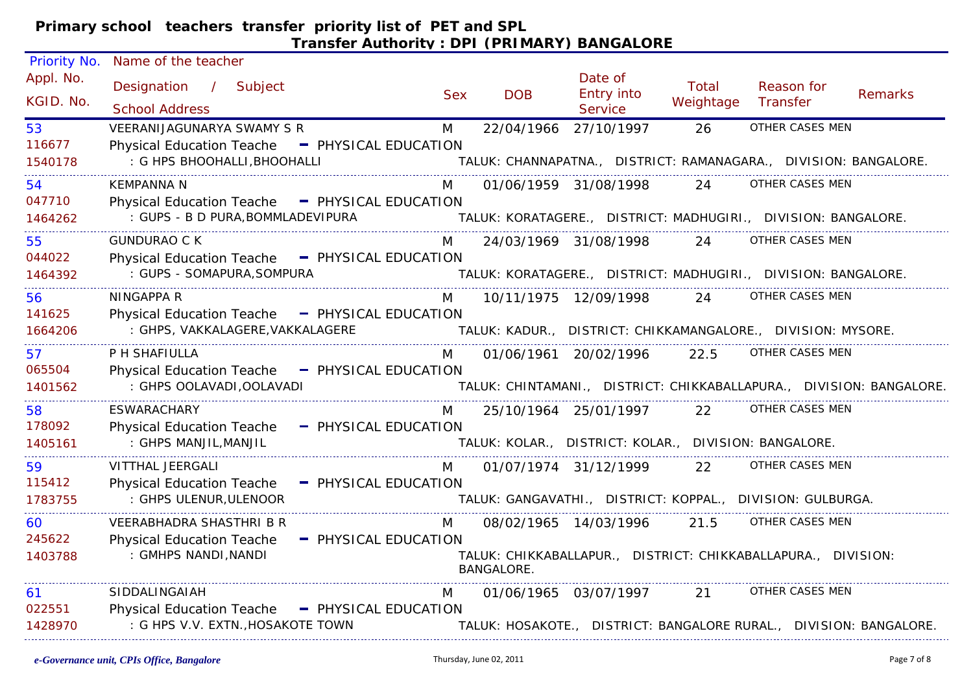| Priority No.            | Name of the teacher                                                                                                           |            |                   |                                                                                |                    |                                                                                         |         |
|-------------------------|-------------------------------------------------------------------------------------------------------------------------------|------------|-------------------|--------------------------------------------------------------------------------|--------------------|-----------------------------------------------------------------------------------------|---------|
| Appl. No.<br>KGID. No.  | Designation / Subject<br><b>School Address</b>                                                                                | <b>Sex</b> | <b>DOB</b>        | Date of<br>Entry into<br><b>Service</b>                                        | Total<br>Weightage | Reason for<br>Transfer                                                                  | Remarks |
| 53<br>116677<br>1540178 | <b>VEERANIJAGUNARYA SWAMY S R</b><br><b>Physical Education Teache</b><br>- PHYSICAL EDUCATION<br>: G HPS BHOOHALLI, BHOOHALLI | M          | 22/04/1966        | 27/10/1997                                                                     | 26                 | OTHER CASES MEN<br>TALUK: CHANNAPATNA., DISTRICT: RAMANAGARA., DIVISION: BANGALORE.     |         |
| 54<br>047710<br>1464262 | KEMPANNA N<br>Physical Education Teache - PHYSICAL EDUCATION<br>: GUPS - B D PURA, BOMMLADEVIPURA                             | M          |                   | 01/06/1959 31/08/1998                                                          | 24                 | OTHER CASES MEN                                                                         |         |
| 55<br>044022<br>1464392 | <b>GUNDURAO C K</b><br>Physical Education Teache - PHYSICAL EDUCATION<br>: GUPS - SOMAPURA, SOMPURA                           | M          |                   | 24/03/1969 31/08/1998 24                                                       |                    | OTHER CASES MEN<br>TALUK: KORATAGERE., DISTRICT: MADHUGIRI., DIVISION: BANGALORE.       |         |
| 56<br>141625<br>1664206 | NINGAPPA R<br>Physical Education Teache - PHYSICAL EDUCATION<br>: GHPS, VAKKALAGERE, VAKKALAGERE                              | M          |                   | 10/11/1975 12/09/1998                                                          | 24                 | OTHER CASES MEN<br>TALUK: KADUR., DISTRICT: CHIKKAMANGALORE., DIVISION: MYSORE.         |         |
| 57<br>065504<br>1401562 | P H SHAFIULLA<br>Physical Education Teache - PHYSICAL EDUCATION<br>: GHPS OOLAVADI, OOLAVADI                                  | M          |                   | 01/06/1961 20/02/1996 22.5                                                     |                    | OTHER CASES MEN<br>TALUK: CHINTAMANI., DISTRICT: CHIKKABALLAPURA., DIVISION: BANGALORE. |         |
| 58<br>178092<br>1405161 | <b>ESWARACHARY</b><br>- PHYSICAL EDUCATION<br><b>Physical Education Teache</b><br>: GHPS MANJIL, MANJIL                       | M          |                   | 25/10/1964 25/01/1997<br>TALUK: KOLAR., DISTRICT: KOLAR., DIVISION: BANGALORE. | 22                 | OTHER CASES MEN                                                                         |         |
| 59<br>115412<br>1783755 | VITTHAL JEERGALI<br>- PHYSICAL EDUCATION<br><b>Physical Education Teache</b><br>: GHPS ULENUR, ULENOOR                        | M          |                   | 01/07/1974 31/12/1999                                                          | 22                 | OTHER CASES MEN<br>TALUK: GANGAVATHI., DISTRICT: KOPPAL., DIVISION: GULBURGA.           |         |
| 60<br>245622<br>1403788 | VEERABHADRA SHASTHRI B R<br>- PHYSICAL EDUCATION<br><b>Physical Education Teache</b><br>: GMHPS NANDI, NANDI                  | M          | <b>BANGALORE.</b> | 08/02/1965 14/03/1996 21.5                                                     |                    | OTHER CASES MEN<br>TALUK: CHIKKABALLAPUR., DISTRICT: CHIKKABALLAPURA., DIVISION:        |         |
| 61<br>022551<br>1428970 | SIDDALINGAIAH<br>Physical Education Teache - PHYSICAL EDUCATION<br>: G HPS V.V. EXTN., HOSAKOTE TOWN                          | M          |                   | 01/06/1965 03/07/1997                                                          | 21                 | OTHER CASES MEN<br>TALUK: HOSAKOTE., DISTRICT: BANGALORE RURAL., DIVISION: BANGALORE.   |         |